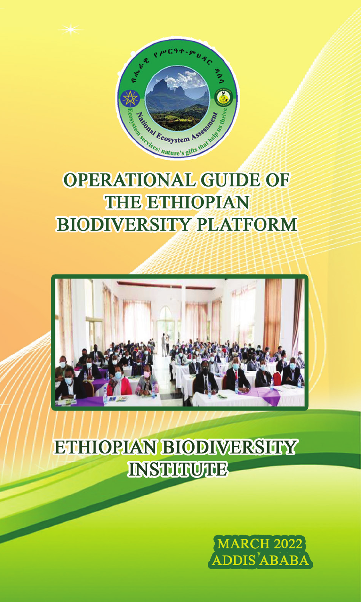

# **OPERATIONAL GUIDE OF THE ETHIOPIAN BIODIVERSITY PLATFORM**



ETHIOPIAN BIODIVERSITY INSTITUTUTE

> **MARCH 2022** ADDIS ABABA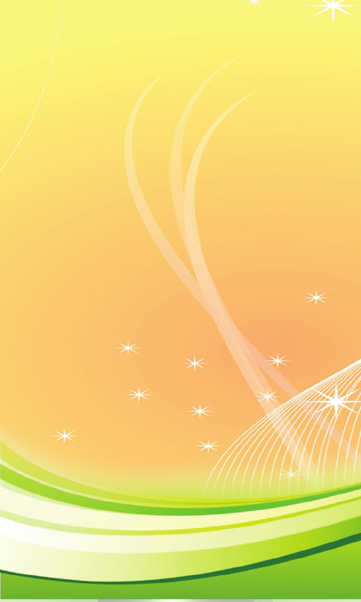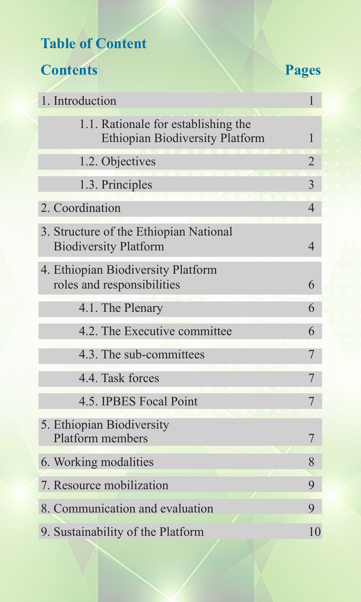## **Table of Content**

# **Contents Pages**

| 1. Introduction                                                               | $\mathbf{1}$             |
|-------------------------------------------------------------------------------|--------------------------|
| 1.1. Rationale for establishing the<br><b>Ethiopian Biodiversity Platform</b> | $\mathbf{1}$             |
| 1.2. Objectives                                                               | $\overline{2}$           |
| 1.3. Principles                                                               | 3                        |
| 2. Coordination                                                               | $\overline{4}$           |
| 3. Structure of the Ethiopian National<br><b>Biodiversity Platform</b>        | $\overline{\mathcal{A}}$ |
| 4. Ethiopian Biodiversity Platform<br>roles and responsibilities              | 6                        |
| 4.1. The Plenary                                                              | 6                        |
| 4.2. The Executive committee                                                  | 6                        |
| 4.3. The sub-committees                                                       | 7                        |
| 4.4. Task forces                                                              | 7                        |
| 4.5. IPBES Focal Point                                                        | 7                        |
| 5. Ethiopian Biodiversity<br>Platform members                                 | 7                        |
| 6. Working modalities                                                         | 8                        |
| 7. Resource mobilization                                                      | 9                        |
| 8. Communication and evaluation                                               | 9                        |
| 9. Sustainability of the Platform                                             | 10                       |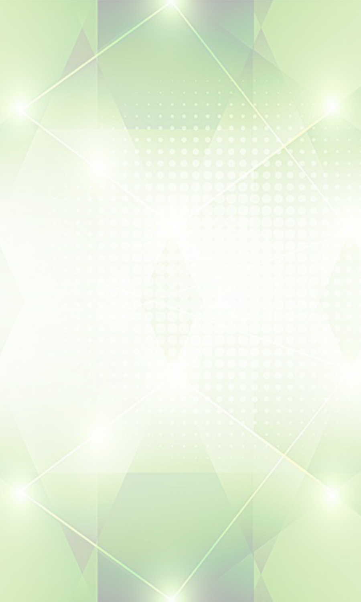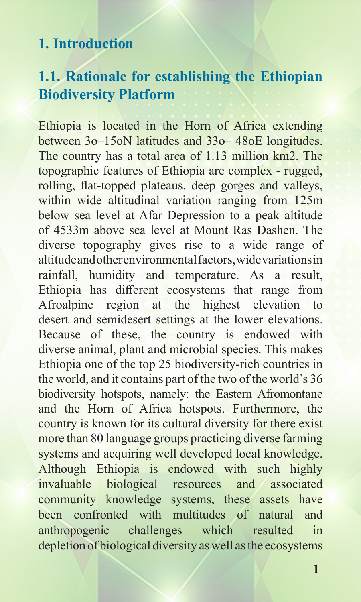#### **1. Introduction**

#### **1.1. Rationale for establishing the Ethiopian Biodiversity Platform**

Ethiopia is located in the Horn of Africa extending between 3o–15oN latitudes and 33o– 48oE longitudes. The country has a total area of 1.13 million km2. The topographic features of Ethiopia are complex - rugged, rolling, flat-topped plateaus, deep gorges and valleys, within wide altitudinal variation ranging from 125m below sea level at Afar Depression to a peak altitude of 4533m above sea level at Mount Ras Dashen. The diverse topography gives rise to a wide range of altitude and other environmental factors, wide variations in rainfall, humidity and temperature. As a result, Ethiopia has different ecosystems that range from Afroalpine region at the highest elevation to desert and semidesert settings at the lower elevations. Because of these, the country is endowed with diverse animal, plant and microbial species. This makes Ethiopia one of the top 25 biodiversity-rich countries in the world, and it contains part of the two of the world's 36 biodiversity hotspots, namely: the Eastern Afromontane and the Horn of Africa hotspots. Furthermore, the country is known for its cultural diversity for there exist more than 80 language groups practicing diverse farming systems and acquiring well developed local knowledge. Although Ethiopia is endowed with such highly invaluable biological resources and associated community knowledge systems, these assets have been confronted with multitudes of natural and anthropogenic challenges which resulted in depletion of biological diversity as well as the ecosystems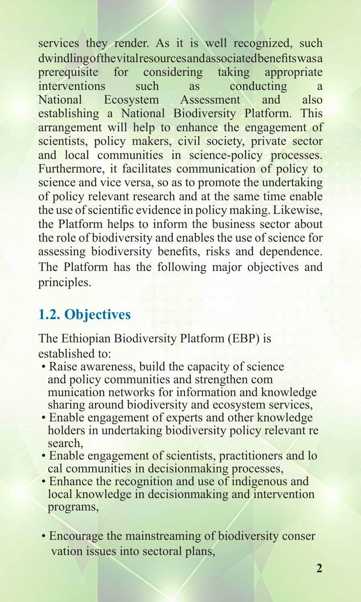services they render. As it is well recognized, such dwindling of the vital resources and associated benefits was a prerequisite for considering taking appropriate<br>interventions such as conducting a such as conducting a National Ecosystem Assessment and also establishing a National Biodiversity Platform. This arrangement will help to enhance the engagement of scientists, policy makers, civil society, private sector and local communities in science-policy processes. Furthermore, it facilitates communication of policy to science and vice versa, so as to promote the undertaking of policy relevant research and at the same time enable the use of scientific evidence in policy making. Likewise, the Platform helps to inform the business sector about the role of biodiversity and enables the use of science for assessing biodiversity benefits, risks and dependence. The Platform has the following major objectives and principles.

#### **1.2. Objectives**

The Ethiopian Biodiversity Platform (EBP) is established to:

- Raise awareness, build the capacity of science and policy communities and strengthen com munication networks for information and knowledge sharing around biodiversity and ecosystem services,
- Enable engagement of experts and other knowledge holders in undertaking biodiversity policy relevant re search,
- Enable engagement of scientists, practitioners and lo cal communities in decisionmaking processes,
- Enhance the recognition and use of indigenous and local knowledge in decisionmaking and intervention programs,
- Encourage the mainstreaming of biodiversity conser vation issues into sectoral plans,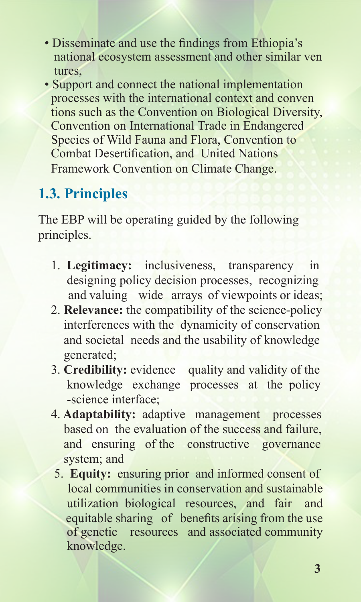- Disseminate and use the findings from Ethiopia's national ecosystem assessment and other similar ven tures,
- Support and connect the national implementation processes with the international context and conven tions such as the Convention on Biological Diversity, Convention on International Trade in Endangered Species of Wild Fauna and Flora, Convention to Combat Desertification, and United Nations Framework Convention on Climate Change.

#### **1.3. Principles**

The EBP will be operating guided by the following principles.

- 1. **Legitimacy:** inclusiveness, transparency in designing policy decision processes, recognizing and valuing wide arrays of viewpoints or ideas;
- 2. **Relevance:** the compatibility of the science-policy interferences with the dynamicity of conservation and societal needs and the usability of knowledge generated;
- 3. **Credibility:** evidence quality and validity of the knowledge exchange processes at the policy -science interface;
- 4. **Adaptability:** adaptive management processes based on the evaluation of the success and failure, and ensuring of the constructive governance system; and
	- 5. **Equity:** ensuring prior and informed consent of local communities in conservation and sustainable utilization biological resources, and fair and equitable sharing of benefits arising from the use of genetic resources and associated community knowledge.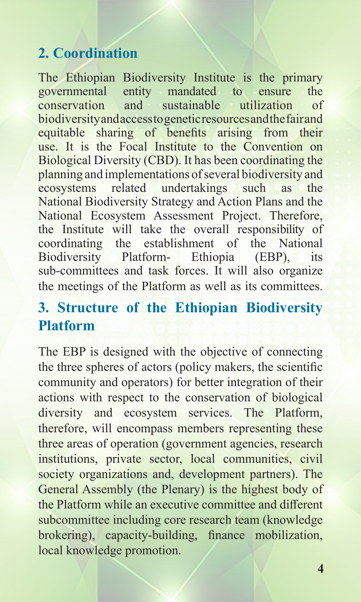#### **2. Coordination**

The Ethiopian Biodiversity Institute is the primary governmental entity mandated to ensure the<br>conservation and sustainable utilization of conservation and sustainable utilization of biodiversity and access to genetic resources and the fair and equitable sharing of benefits arising from their use. It is the Focal Institute to the Convention on Biological Diversity (CBD). It has been coordinating the planning and implementations of several biodiversity and ecosystems related undertakings such as the National Biodiversity Strategy and Action Plans and the National Ecosystem Assessment Project. Therefore, the Institute will take the overall responsibility of coordinating the establishment of the National Biodiversity Platform- Ethiopia (EBP), its sub-committees and task forces. It will also organize the meetings of the Platform as well as its committees.

#### **3. Structure of the Ethiopian Biodiversity Platform**

The EBP is designed with the objective of connecting the three spheres of actors (policy makers, the scientific community and operators) for better integration of their actions with respect to the conservation of biological diversity and ecosystem services. The Platform, therefore, will encompass members representing these three areas of operation (government agencies, research institutions, private sector, local communities, civil society organizations and, development partners). The General Assembly (the Plenary) is the highest body of the Platform while an executive committee and different subcommittee including core research team (knowledge brokering), capacity-building, finance mobilization, local knowledge promotion.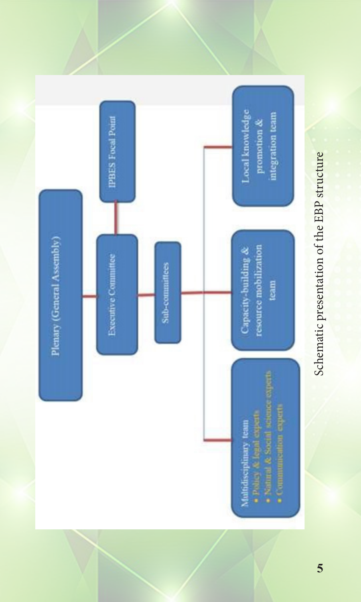

# Schematic presentation of the EBP structure Schematic presentation of the EBP structure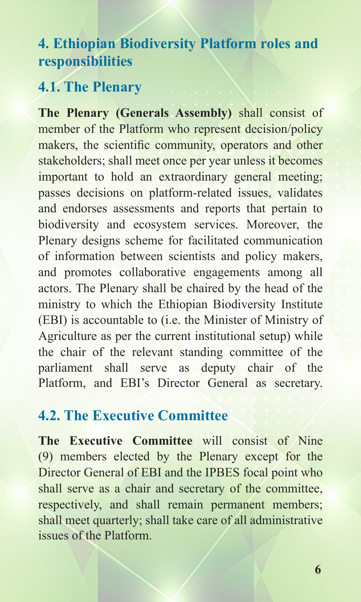#### **4. Ethiopian Biodiversity Platform roles and responsibilities**

#### **4.1. The Plenary**

**The Plenary (Generals Assembly)** shall consist of member of the Platform who represent decision/policy makers, the scientific community, operators and other stakeholders; shall meet once per year unless it becomes important to hold an extraordinary general meeting; passes decisions on platform-related issues, validates and endorses assessments and reports that pertain to biodiversity and ecosystem services. Moreover, the Plenary designs scheme for facilitated communication of information between scientists and policy makers, and promotes collaborative engagements among all actors. The Plenary shall be chaired by the head of the ministry to which the Ethiopian Biodiversity Institute (EBI) is accountable to (i.e. the Minister of Ministry of Agriculture as per the current institutional setup) while the chair of the relevant standing committee of the parliament shall serve as deputy chair of the Platform, and EBI's Director General as secretary.

#### **4.2. The Executive Committee**

**The Executive Committee** will consist of Nine (9) members elected by the Plenary except for the Director General of EBI and the IPBES focal point who shall serve as a chair and secretary of the committee, respectively, and shall remain permanent members; shall meet quarterly; shall take care of all administrative issues of the Platform.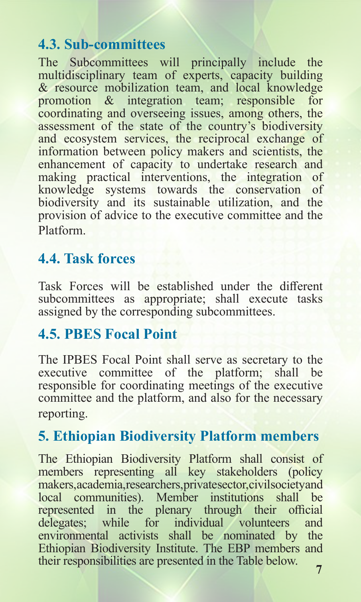#### **4.3. Sub-committees**

The Subcommittees will principally include the multidisciplinary team of experts, capacity building & resource mobilization team, and local knowledge promotion & integration team; responsible for coordinating and overseeing issues, among others, the assessment of the state of the country's biodiversity and ecosystem services, the reciprocal exchange of information between policy makers and scientists, the enhancement of capacity to undertake research and making practical interventions, the integration of knowledge systems towards the conservation of biodiversity and its sustainable utilization, and the provision of advice to the executive committee and the Platform.

#### **4.4. Task forces**

Task Forces will be established under the different subcommittees as appropriate; shall execute tasks assigned by the corresponding subcommittees.

#### **4.5. PBES Focal Point**

The IPBES Focal Point shall serve as secretary to the executive committee of the platform: shall be executive committee of the platform; responsible for coordinating meetings of the executive committee and the platform, and also for the necessary reporting.

#### **5. Ethiopian Biodiversity Platform members**

The Ethiopian Biodiversity Platform shall consist of members representing all key stakeholders (policy makers, academia, researchers, private sector, civil society and local communities). Member institutions shall be represented in the plenary through their official delegates; while for individual volunteers and environmental activists shall be nominated by the Ethiopian Biodiversity Institute. The EBP members and their responsibilities are presented in the Table below. **7**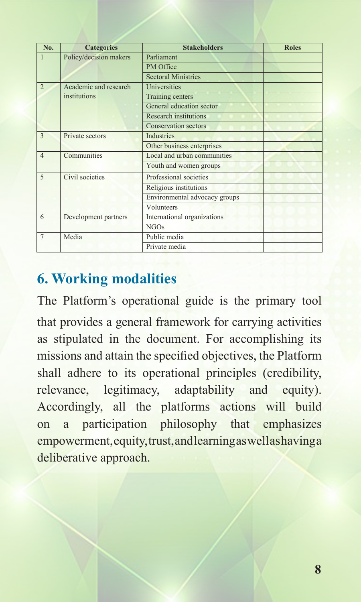| No.                      | <b>Categories</b>      | <b>Stakeholders</b>           | <b>Roles</b> |
|--------------------------|------------------------|-------------------------------|--------------|
| 1                        | Policy/decision makers | Parliament                    |              |
|                          |                        | PM Office                     |              |
|                          |                        | <b>Sectoral Ministries</b>    |              |
| $\overline{2}$           | Academic and research  | Universities                  |              |
|                          | institutions           | <b>Training centers</b>       |              |
|                          |                        | General education sector      |              |
|                          |                        | <b>Research institutions</b>  |              |
|                          |                        | <b>Conservation sectors</b>   |              |
| 3                        | Private sectors        | Industries                    |              |
|                          |                        | Other business enterprises    |              |
| $\overline{4}$           | Communities            | Local and urban communities   |              |
|                          |                        | Youth and women groups        |              |
| $\overline{\phantom{0}}$ | Civil societies        | Professional societies        |              |
|                          |                        | Religious institutions        |              |
|                          |                        | Environmental advocacy groups |              |
|                          |                        | Volunteers                    |              |
| 6                        | Development partners   | International organizations   |              |
|                          |                        | <b>NGOs</b>                   |              |
| 7                        | Media                  | Public media                  |              |
|                          |                        | Private media                 |              |

### 6 **6. Working modalities**

The Platform's operational guide is the primary tool that provides a general framework for carrying activities as stipulated in the document. For accomplishing its missions and attain the specified objectives, the Platform shall adhere to its operational principles (credibility, relevance, legitimacy, adaptability and equity). Accordingly, all the platforms actions will build on a participation philosophy that emphasizes empowerment, equity, trust, and learning as well as having a deliberative approach.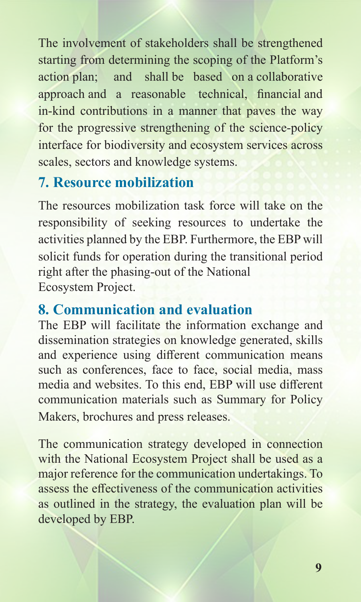The involvement of stakeholders shall be strengthened starting from determining the scoping of the Platform's action plan; and shall be based on a collaborative approach and a reasonable technical, financial and in-kind contributions in a manner that paves the way for the progressive strengthening of the science-policy interface for biodiversity and ecosystem services across scales, sectors and knowledge systems.

#### **7. Resource mobilization**

The resources mobilization task force will take on the responsibility of seeking resources to undertake the activities planned by the EBP. Furthermore, the EBP will solicit funds for operation during the transitional period right after the phasing-out of the National Ecosystem Project.

#### **8. Communication and evaluation**

The EBP will facilitate the information exchange and dissemination strategies on knowledge generated, skills and experience using different communication means such as conferences, face to face, social media, mass media and websites. To this end, EBP will use different communication materials such as Summary for Policy Makers, brochures and press releases.

The communication strategy developed in connection with the National Ecosystem Project shall be used as a major reference for the communication undertakings. To assess the effectiveness of the communication activities as outlined in the strategy, the evaluation plan will be developed by EBP.